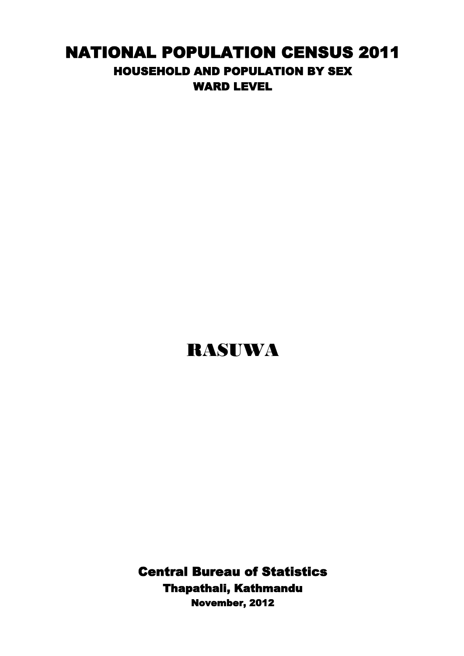## NATIONAL POPULATION CENSUS 2011 HOUSEHOLD AND POPULATION BY SEX WARD LEVEL

## RASUWA

Central Bureau of Statistics Thapathali, Kathmandu November, 2012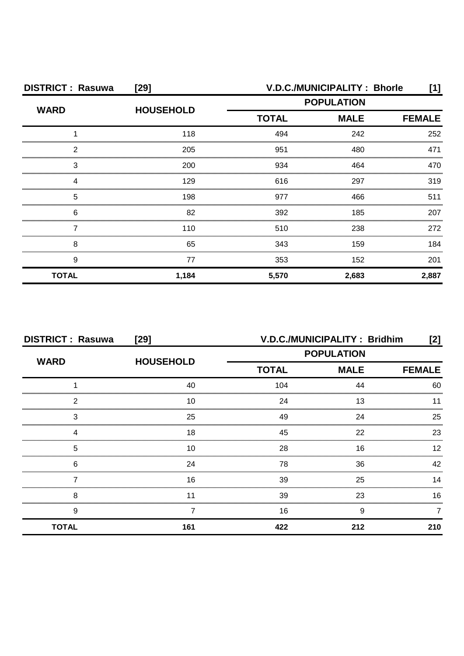| <b>DISTRICT: Rasuwa</b> | $[29]$           |                             | V.D.C./MUNICIPALITY: Bhorle | [1]           |
|-------------------------|------------------|-----------------------------|-----------------------------|---------------|
| <b>WARD</b>             | <b>HOUSEHOLD</b> | <b>POPULATION</b>           |                             |               |
|                         |                  | <b>TOTAL</b><br><b>MALE</b> |                             | <b>FEMALE</b> |
|                         | 118              | 494                         | 242                         | 252           |
| 2                       | 205              | 951                         | 480                         | 471           |
| 3                       | 200              | 934                         | 464                         | 470           |
|                         | 129              | 616                         | 297                         | 319           |
| 5                       | 198              | 977                         | 466                         | 511           |
| 6                       | 82               | 392                         | 185                         | 207           |
|                         | 110              | 510                         | 238                         | 272           |
| 8                       | 65               | 343                         | 159                         | 184           |
| 9                       | 77               | 353                         | 152                         | 201           |
| <b>TOTAL</b>            | 1,184            | 5,570                       | 2,683                       | 2,887         |

| <b>DISTRICT: Rasuwa</b> | [29]             | V.D.C./MUNICIPALITY: Bridhim<br>[2]       |             |               |
|-------------------------|------------------|-------------------------------------------|-------------|---------------|
| <b>WARD</b>             | <b>HOUSEHOLD</b> | <b>POPULATION</b>                         |             |               |
|                         |                  | <b>TOTAL</b>                              | <b>MALE</b> | <b>FEMALE</b> |
|                         | 40               | 104                                       | 44          | 60            |
| າ                       | 10               | 24                                        | 13          |               |
| 3                       | 25               | 49                                        | 24          | 25            |
|                         | 18               | 45                                        | 22          | 23            |
| 5                       | 10               | 28<br>,,,,,,,,,,,,,,,,,,,,,,,,,,,,,,,,,,, | 16          | 12            |
| 6                       | 24               | 78                                        | 36          | 42            |
|                         | 16               | 39                                        | 25          | 14            |
| 8                       |                  | 39                                        | 23          | 16            |
| 9                       |                  | 16                                        | 9           |               |
| <b>TOTAL</b>            | 161              | 422                                       | 212         | 210           |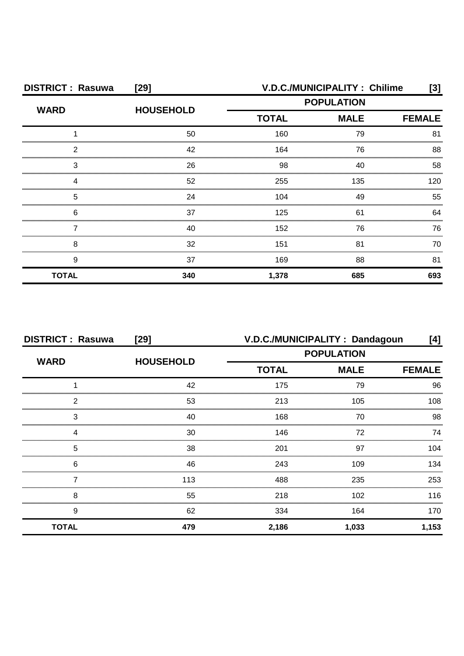| <b>DISTRICT: Rasuwa</b> | [29]             | V.D.C./MUNICIPALITY: Chilime<br>[3] |     |               |
|-------------------------|------------------|-------------------------------------|-----|---------------|
| <b>WARD</b>             | <b>HOUSEHOLD</b> | <b>POPULATION</b>                   |     |               |
|                         |                  | <b>TOTAL</b><br><b>MALE</b>         |     | <b>FEMALE</b> |
|                         | 50               | 160                                 | 79  | 81            |
| 2                       | 42               | 164                                 | 76  | 88            |
| 3                       | 26               | 98                                  | 40  | 58            |
|                         | 52               | 255                                 | 135 | 120           |
| 5                       | 24               | 104                                 | 49  | 55            |
| 6                       | 37               | 125                                 | 61  | 64            |
|                         | 40               | 152                                 | 76  | 76            |
| 8                       | 32               | 151                                 | 81  | 70            |
| 9                       | 37               | 169                                 | 88  | 81            |
| <b>TOTAL</b>            | 340              | 1,378                               | 685 | 693           |

| <b>DISTRICT: Rasuwa</b> | [29]             | V.D.C./MUNICIPALITY: Dandagoun<br>[4] |       |               |
|-------------------------|------------------|---------------------------------------|-------|---------------|
| <b>WARD</b>             |                  | <b>POPULATION</b>                     |       |               |
|                         | <b>HOUSEHOLD</b> | <b>TOTAL</b><br><b>MALE</b>           |       | <b>FEMALE</b> |
|                         | 42               | 175                                   | 79    | 96            |
| っ                       | 53               | 213                                   | 105   | 108           |
| 3                       | 40               | 168                                   | 70    | 98            |
|                         | 30               | 146                                   | 72    | 74            |
| 5                       | 38               | 201                                   | 97    | 104           |
| 6                       | 46               | 243                                   | 109   | 134           |
|                         | 113              | 488                                   | 235   | 253           |
| 8                       | 55               | 218                                   | 102   | 116           |
| 9                       | 62               | 334                                   | 164   | 170           |
| <b>TOTAL</b>            | 479              | 2,186                                 | 1,033 | 1,153         |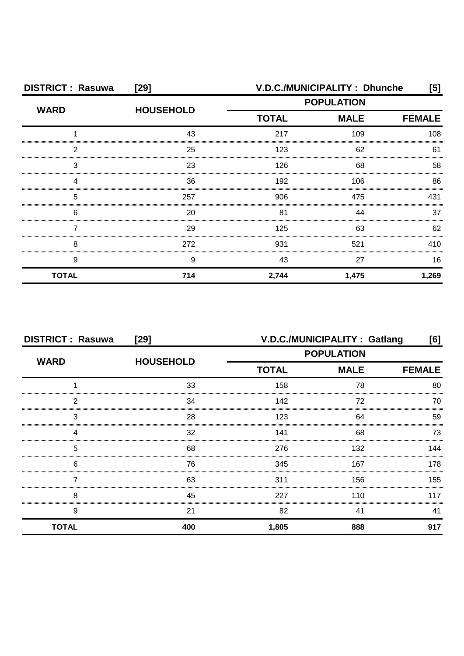| <b>DISTRICT: Rasuwa</b> | $[29]$                                | V.D.C./MUNICIPALITY: Dhunche<br>[5] |               |       |
|-------------------------|---------------------------------------|-------------------------------------|---------------|-------|
| <b>WARD</b>             | <b>POPULATION</b><br><b>HOUSEHOLD</b> |                                     |               |       |
|                         |                                       | <b>TOTAL</b><br><b>MALE</b>         | <b>FEMALE</b> |       |
|                         | 43                                    | 217                                 | 109           | 108   |
| 2                       | 25                                    | 123                                 | 62            | 61    |
| 3                       | 23                                    | 126                                 | 68            | 58    |
|                         | 36                                    | 192                                 | 106           | 86    |
| 5                       | 257                                   | 906                                 | 475           | 431   |
| 6                       | 20                                    | 81                                  | 44            | 37    |
|                         | 29                                    | 125                                 | 63            | 62    |
| 8                       | 272                                   | 931                                 | 521           | 410   |
| 9                       | 9                                     | 43                                  | 27            | 16    |
| <b>TOTAL</b>            | 714                                   | 2,744                               | 1,475         | 1,269 |

| <b>DISTRICT: Rasuwa</b> | [29]             | V.D.C./MUNICIPALITY: Gatlang<br>[6] |             |               |
|-------------------------|------------------|-------------------------------------|-------------|---------------|
| <b>WARD</b>             | <b>HOUSEHOLD</b> | <b>POPULATION</b>                   |             |               |
|                         |                  | <b>TOTAL</b>                        | <b>MALE</b> | <b>FEMALE</b> |
|                         | 33               | 158                                 | 78          | 80            |
| 2                       | 34               | 142                                 | 72          | 70            |
| 3                       | 28               | 123                                 | 64          | 59            |
|                         | 32               | 141                                 | 68          | 73            |
| 5                       | 68               | 276                                 | 132         | 144           |
| 6                       | 76               | 345                                 | 167         | 178           |
|                         | 63               | 311                                 | 156         | 155           |
| 8                       | 45               | 227                                 | 110         | 117           |
| 9                       | 21               | 82                                  | 41          | 41            |
| <b>TOTAL</b>            | 400              | 1,805                               | 888         | 917           |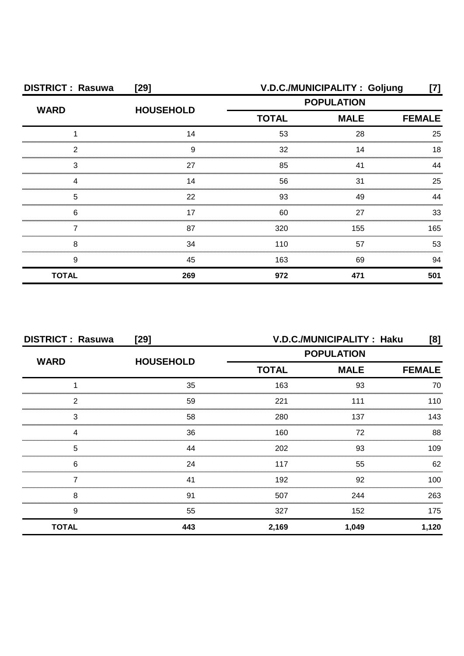| <b>DISTRICT: Rasuwa</b> | $[29]$           | V.D.C./MUNICIPALITY: Goljung<br>[7] |     |               |
|-------------------------|------------------|-------------------------------------|-----|---------------|
| <b>WARD</b>             | <b>HOUSEHOLD</b> | <b>POPULATION</b>                   |     |               |
|                         |                  | <b>TOTAL</b><br><b>MALE</b>         |     | <b>FEMALE</b> |
|                         | 14               | 53                                  | 28  | 25            |
| 2                       | я                | 32                                  | 14  | 18            |
| 3                       | 27               | 85                                  |     |               |
|                         | 14               | 56                                  | 31  | 25            |
| 5                       | 22               | 93                                  | 49  | ΔΔ            |
| 6                       | 17               | 60                                  | 27  | 33            |
|                         | 87               | 320                                 | 155 | 165           |
| Я                       | 34               | 110                                 | 57  | 53            |
| 9                       | 45               | 163                                 | 69  | 94            |
| <b>TOTAL</b>            | 269              | 972                                 | 471 | 501           |

| <b>DISTRICT: Rasuwa</b> | $[29]$           | V.D.C./MUNICIPALITY: Haku<br>[8] |                              |       |
|-------------------------|------------------|----------------------------------|------------------------------|-------|
| <b>WARD</b>             | <b>HOUSEHOLD</b> | <b>POPULATION</b>                |                              |       |
|                         |                  | <b>TOTAL</b>                     | <b>MALE</b><br><b>FEMALE</b> |       |
|                         | 35               | 163                              | 93                           | 70    |
| 2                       | 59               | 221                              | 111                          | 110   |
| 3                       | 58               | 280                              | 137                          | 143   |
| Δ                       | 36               | 160                              | 72                           | 88    |
| 5                       | 44               | 202                              | 93                           | 109   |
| 6                       | 24               | 117                              | 55                           | 62    |
|                         | 41               | 192                              | 92                           | 100.  |
| 8                       | 91               | 507                              | 244                          | 263   |
| 9                       | 55               | 327                              | 152                          | 175   |
| <b>TOTAL</b>            | 443              | 2,169                            | 1,049                        | 1,120 |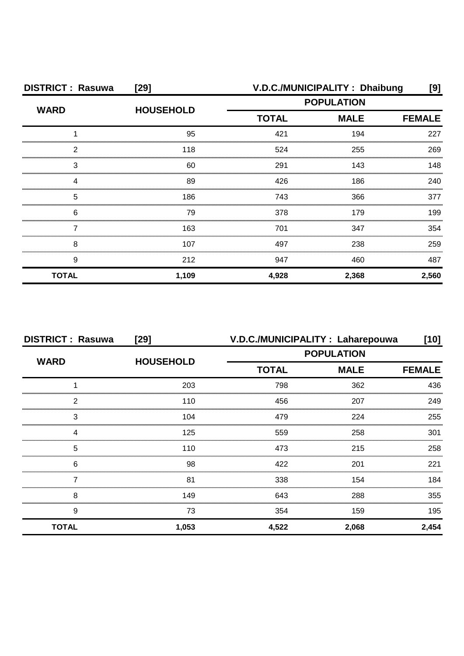| <b>DISTRICT: Rasuwa</b> | $[29]$           | V.D.C./MUNICIPALITY: Dhaibung |             |               |
|-------------------------|------------------|-------------------------------|-------------|---------------|
| <b>WARD</b>             | <b>HOUSEHOLD</b> | <b>POPULATION</b>             |             |               |
|                         |                  | <b>TOTAL</b>                  | <b>MALE</b> | <b>FEMALE</b> |
|                         | 95               | 421                           | 194         | 227           |
| 2                       | 118              | 524                           | 255         | 269           |
| 3                       | 60               | 291                           | 143         | 148           |
|                         | 89               | 426                           | 186         | 240           |
| 5                       | 186              | 743                           | 366         | 377           |
| 6                       | 79               | 378                           | 179         | 199           |
|                         | 163              | 701                           | 347         | 354           |
| 8                       | 107              | 497                           | 238         | 259           |
| 9                       | 212              | 947                           | 460         | 487           |
| <b>TOTAL</b>            | 1,109            | 4,928                         | 2,368       | 2,560         |

| <b>DISTRICT: Rasuwa</b> | [29]             |              | V.D.C./MUNICIPALITY : Laharepouwa | [10]          |
|-------------------------|------------------|--------------|-----------------------------------|---------------|
| <b>WARD</b>             |                  |              | <b>POPULATION</b>                 |               |
|                         | <b>HOUSEHOLD</b> | <b>TOTAL</b> | <b>MALE</b>                       | <b>FEMALE</b> |
|                         | 203              | 798          | 362                               | 436           |
| っ                       | 110              | 456          | 207                               | 249           |
| 3                       | 104              | 479          | 224                               | 255           |
|                         | 125              | 559          | 258                               | 301           |
| 5                       | 110              | 473          | 215                               | 258           |
| 6                       | 98               | 422          | 201                               | 221           |
|                         | 81               | 338          | 154                               | 184           |
| 8                       | 149              | 643          | 288                               | 355           |
| 9                       | 73               | 354          | 159                               | 195           |
| <b>TOTAL</b>            | 1,053            | 4,522        | 2,068                             | 2,454         |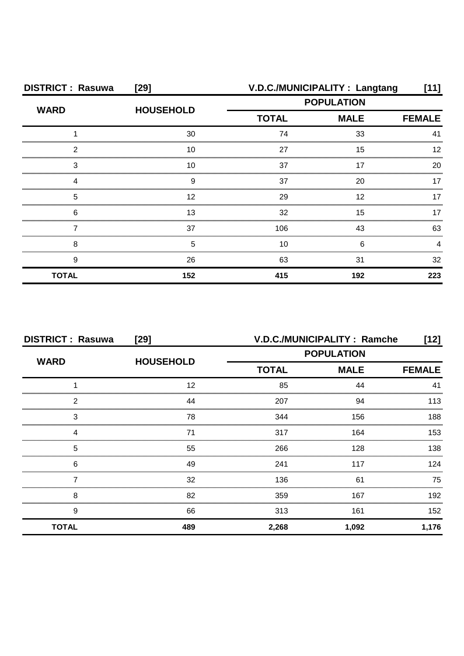| <b>DISTRICT: Rasuwa</b> | $[29]$           |                   | V.D.C./MUNICIPALITY : Langtang | [11]          |
|-------------------------|------------------|-------------------|--------------------------------|---------------|
| <b>WARD</b>             | <b>HOUSEHOLD</b> | <b>POPULATION</b> |                                |               |
|                         |                  | <b>TOTAL</b>      | <b>MALE</b>                    | <b>FEMALE</b> |
|                         | 30               | 74                | 33                             | 41            |
| ◠                       | 10               | 27                | 15                             |               |
| 3                       | 10               | 37                |                                | 20            |
|                         | 9                | 37                | 20                             |               |
| 5                       | 12               | 29                | 12                             | 17            |
| 6                       | 13               | 32                | 15                             | 17            |
|                         | 37               | 106               | 43                             | 63            |
| 8                       | 5                | 10                | 6                              |               |
| 9                       | 26               | 63                | 31                             | 32            |
| <b>TOTAL</b>            | 152              | 415               | 192                            | 223           |

| <b>DISTRICT: Rasuwa</b> | $[29]$           | V.D.C./MUNICIPALITY : Ramche<br>[12] |             |               |
|-------------------------|------------------|--------------------------------------|-------------|---------------|
|                         |                  | <b>POPULATION</b>                    |             |               |
| <b>WARD</b>             | <b>HOUSEHOLD</b> | <b>TOTAL</b>                         | <b>MALE</b> | <b>FEMALE</b> |
|                         | 12               | 85                                   | 44          | 41            |
| 2                       | 44               | 207                                  | 94          | 113           |
| 3                       | 78               | 344                                  | 156         | 188           |
|                         | 71               | 317                                  | 164         | 153           |
| 5                       | 55               | 266                                  | 128         | 138           |
| 6                       | 49               | 241                                  | 117         | 124           |
|                         | 32               | 136                                  | 61          | 75            |
| 8                       | 82               | 359                                  | 167         | 192           |
| 9                       | 66               | 313                                  | 161         | 152           |
| <b>TOTAL</b>            | 489              | 2,268                                | 1,092       | 1,176         |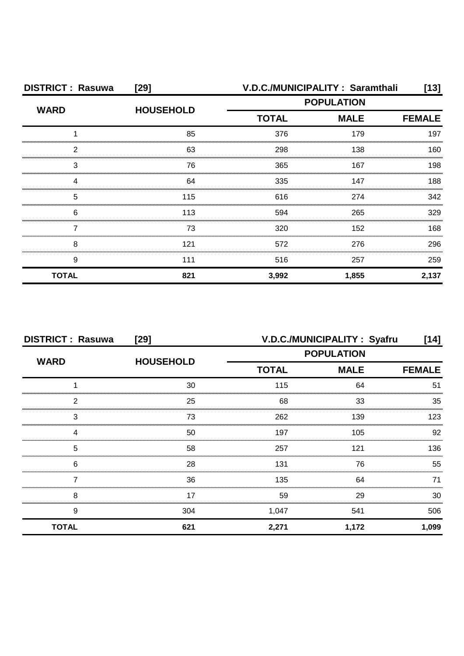| <b>DISTRICT: Rasuwa</b> | $[29]$           | V.D.C./MUNICIPALITY: Saramthali |             |               |
|-------------------------|------------------|---------------------------------|-------------|---------------|
| <b>WARD</b>             | <b>HOUSEHOLD</b> | <b>POPULATION</b>               |             |               |
|                         |                  | <b>TOTAL</b>                    | <b>MALE</b> | <b>FEMALE</b> |
|                         | 85               | 376                             | 179         | 197           |
| 2                       | 63               | 298                             | 138         | 160           |
| З                       | 76               | 365                             | 167         | 198           |
|                         | 64               | 335                             | 147         | 188           |
| 5                       | 115              | 616                             | 274         | 342           |
| 6                       | 113              | 594                             | 265         | 329           |
|                         | 73               | 320                             | 152         | 168           |
| 8                       | 121              | 572                             | 276         | 296           |
| 9                       | 111              | 516                             | 257         | 259           |
| <b>TOTAL</b>            | 821              | 3,992                           | 1,855       | 2,137         |

| <b>DISTRICT: Rasuwa</b> | [29]             |                   | V.D.C./MUNICIPALITY: Syafru | [14]          |
|-------------------------|------------------|-------------------|-----------------------------|---------------|
| <b>WARD</b>             | <b>HOUSEHOLD</b> | <b>POPULATION</b> |                             |               |
|                         |                  | <b>TOTAL</b>      | <b>MALE</b>                 | <b>FEMALE</b> |
|                         | 30               | 115               | 64                          | 51            |
| 2                       | 25               | 68                | 33                          | 35            |
| 3                       | 73               | 262               | 139                         | 123           |
|                         | 50               | 197               | 105                         | 92            |
| 5                       | 58               | 257               | 121                         | 136           |
| 6                       | 28               | 131               | 76                          | 55            |
|                         | 36               | 135               | 64                          | 71            |
| 8                       | 17               | 59                | 29                          | 30            |
| 9                       | 304              | 1,047             | 541                         | 506           |
| <b>TOTAL</b>            | 621              | 2,271             | 1,172                       | 1,099         |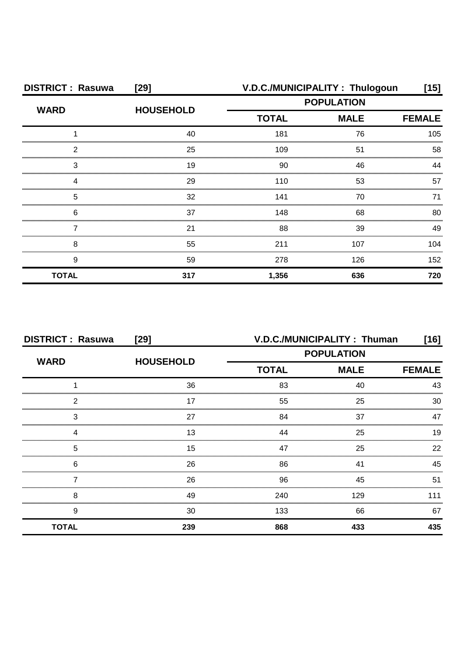| <b>DISTRICT: Rasuwa</b> | $[29]$           |                   | V.D.C./MUNICIPALITY: Thulogoun | [15]          |
|-------------------------|------------------|-------------------|--------------------------------|---------------|
| <b>WARD</b>             | <b>HOUSEHOLD</b> | <b>POPULATION</b> |                                |               |
|                         |                  | <b>TOTAL</b>      | <b>MALE</b>                    | <b>FEMALE</b> |
|                         | 40               | 181               | 76                             | 105           |
| ◠                       | 25               | 109               | 51                             | 58            |
| З                       | 19               | 90                | 46                             | ΔΔ            |
|                         | 29               | 110               | 53                             | 57            |
| 5                       | 32               | 141               | 70                             | 71            |
| 6                       | 37               | 148               | 68                             | 80            |
|                         | 21               | 88                | 39                             | 49            |
| 8                       | 55               | 211               | 107                            | 104           |
| 9                       | 59               | 278               | 126                            | 152           |
| <b>TOTAL</b>            | 317              | 1,356             | 636                            | 720           |

| <b>DISTRICT: Rasuwa</b> | [29]             |                   | V.D.C./MUNICIPALITY: Thuman | [16]          |
|-------------------------|------------------|-------------------|-----------------------------|---------------|
| <b>WARD</b>             | <b>HOUSEHOLD</b> | <b>POPULATION</b> |                             |               |
|                         |                  | <b>TOTAL</b>      | <b>MALE</b>                 | <b>FEMALE</b> |
|                         | 36               | 83                | 40                          | 43            |
| 2                       | 17               | 55                | 25                          | 30            |
| 3                       | 27               | 84                | 37                          | 47            |
|                         | 13               | 44                | 25                          | 19            |
| 5                       | 15               | 47                | 25                          | 22            |
| 6                       | 26               | 86                | 41                          | 45            |
|                         | 26               | 96                | 45                          | 51            |
| 8                       | 49               | 240               | 129                         | 111           |
| 9                       | 30               | 133               | 66                          | 67            |
| <b>TOTAL</b>            | 239              | 868               | 433                         | 435           |